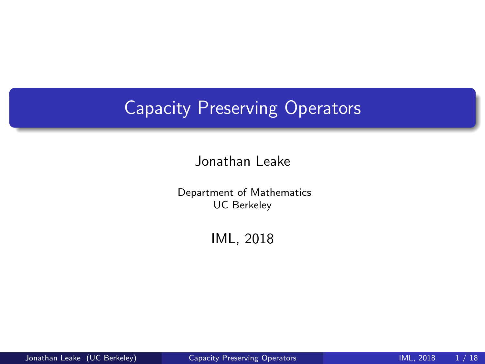## <span id="page-0-0"></span>Capacity Preserving Operators

Jonathan Leake

Department of Mathematics UC Berkeley

IML, 2018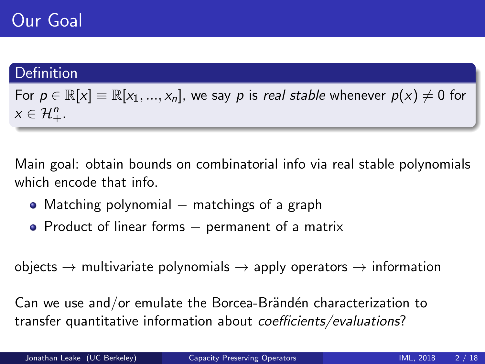#### Definition

For  $p \in \mathbb{R}[x] \equiv \mathbb{R}[x_1, ..., x_n]$ , we say p is real stable whenever  $p(x) \neq 0$  for  $x \in \mathcal{H}^n_+.$ 

Main goal: obtain bounds on combinatorial info via real stable polynomials which encode that info.

- Matching polynomial  $-$  matchings of a graph
- Product of linear forms permanent of a matrix

 $objects \rightarrow multivariate polynomials \rightarrow apply operators \rightarrow information$ 

Can we use and/or emulate the Borcea-Brändén characterization to transfer quantitative information about coefficients/evaluations?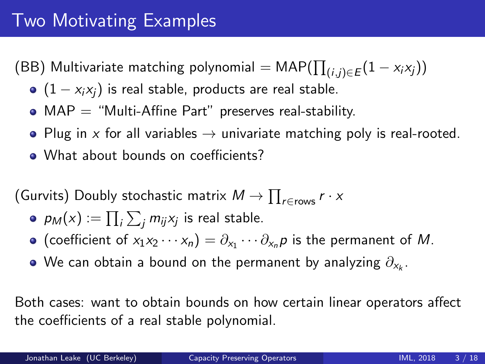(BB) Multivariate matching polynomial  $=\mathsf{MAP}(\prod_{(i,j) \in E} (1-x_i x_j))$ 

- $(1 x_i x_i)$  is real stable, products are real stable.
- $\bullet$  MAP = "Multi-Affine Part" preserves real-stability.
- Plug in x for all variables  $\rightarrow$  univariate matching poly is real-rooted.
- What about bounds on coefficients?

(Gurvits) Doubly stochastic matrix  $M \to \prod_{r \in \text{rows}} r \cdot x$ 

- $\rho_M(\mathsf{x}) := \prod_i \sum_j m_{ij} \mathsf{x}_j$  is real stable.
- (coefficient of  $x_1x_2\cdots x_n$ ) =  $\partial_{x_1}\cdots\partial_{x_n}p$  is the permanent of M.
- We can obtain a bound on the permanent by analyzing  $\partial_{\mathsf{x}_k}.$

Both cases: want to obtain bounds on how certain linear operators affect the coefficients of a real stable polynomial.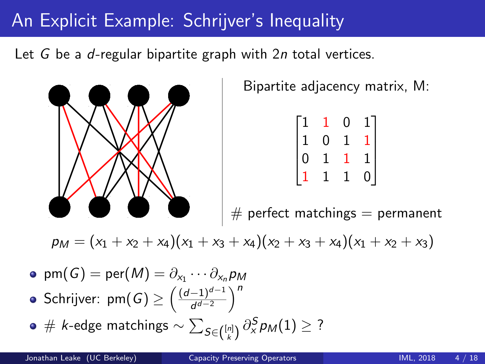## An Explicit Example: Schrijver's Inequality

Let G be a d-regular bipartite graph with 2n total vertices.



Bipartite adjacency matrix, M:

|                                               |             | 0              |                                             |
|-----------------------------------------------|-------------|----------------|---------------------------------------------|
| $\begin{bmatrix} 1 \ 1 \ 0 \ 1 \end{bmatrix}$ | 0           | $\overline{1}$ | $\begin{bmatrix} 1 \\ 1 \\ 0 \end{bmatrix}$ |
|                                               | $\mathbf 1$ |                |                                             |
|                                               | 1           | $\overline{1}$ |                                             |

 $#$  perfect matchings  $=$  permanent

 $p_M = (x_1 + x_2 + x_4)(x_1 + x_3 + x_4)(x_2 + x_3 + x_4)(x_1 + x_2 + x_3)$ 

- $\mathsf{pm}(\mathsf{G}) = \mathsf{per}(M) = \partial_{\mathsf{x}_1} \cdots \partial_{\mathsf{x}_n} \mathsf{p}_M$ Schrijver: pm $(G) \geq \left( \frac{(d-1)^{d-1}}{d^{d-2}} \right)$  $\frac{(-1)^{d-1}}{d^{d-2}}$
- $\#$  *k*-edge matchings  $\sim$   $\sum_{S \in \binom{[n]}{\small k}} \partial_\text{x}^S p_\text{M}(1) \geq ?$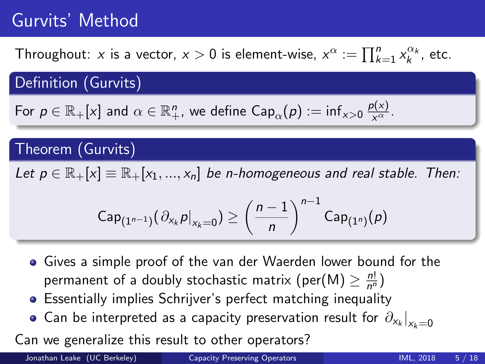# Gurvits' Method

Throughout: x is a vector,  $x > 0$  is element-wise,  $x^{\alpha} := \prod_{k=1}^{n} x_k^{\alpha_k}$ , etc.

Definition (Gurvits)

For 
$$
p \in \mathbb{R}_+[x]
$$
 and  $\alpha \in \mathbb{R}_+^n$ , we define  $\text{Cap}_\alpha(p) := \inf_{x>0} \frac{p(x)}{x^\alpha}$ .

### Theorem (Gurvits)

Let  $p \in \mathbb{R}_+[x] \equiv \mathbb{R}_+[x_1, ..., x_n]$  be n-homogeneous and real stable. Then:

$$
{\sf Cap}_{(1^{n-1})}(\left.\partial_{x_k} p\right|_{x_k=0}) \geq \left(\frac{n-1}{n}\right)^{n-1}{\sf Cap}_{(1^n)}(\rho)
$$

- Gives a simple proof of the van der Waerden lower bound for the permanent of a doubly stochastic matrix (per(M)  $\geq \frac{n!}{n^n}$  $\frac{n!}{n^n}$
- Essentially implies Schrijver's perfect matching inequality
- Can be interpreted as a capacity preservation result for  $\left.\partial_{\mathsf{x}_k}\right|_{\mathsf{x}_k=0}$

Can we generalize this result to other operators?

Jonathan Leake (UC Berkeley) [Capacity Preserving Operators](#page-0-0) IML, 2018 5 / 18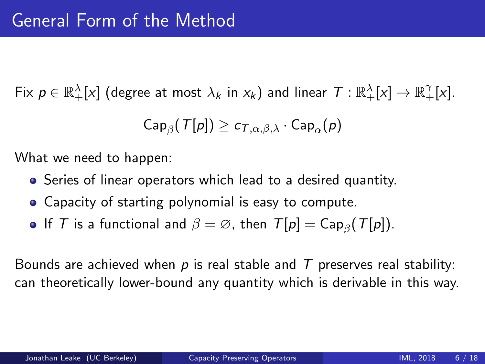$\mathsf{Fix}\,\, p\in\mathbb{R}_+^\lambda[\mathrm{\mathsf{x}}]$  (degree at most  $\lambda_k$  in  $\mathrm{\mathsf{x}}_k$ ) and linear  $\,\mathcal{T}:\mathbb{R}_+^\lambda[\mathrm{\mathsf{x}}]\to\mathbb{R}_+^\gamma[\mathrm{\mathsf{x}}].$ 

$$
{\sf Cap}_\beta({\sf T}[p]) \ge c_{{\sf T},\alpha,\beta,\lambda} \cdot {\sf Cap}_\alpha(p)
$$

What we need to happen:

- **•** Series of linear operators which lead to a desired quantity.
- Capacity of starting polynomial is easy to compute.
- If  $T$  is a functional and  $\beta = \varnothing$ , then  $T[p] = \mathsf{Cap}_\beta(T[p])$ .

Bounds are achieved when  $p$  is real stable and  $T$  preserves real stability: can theoretically lower-bound any quantity which is derivable in this way.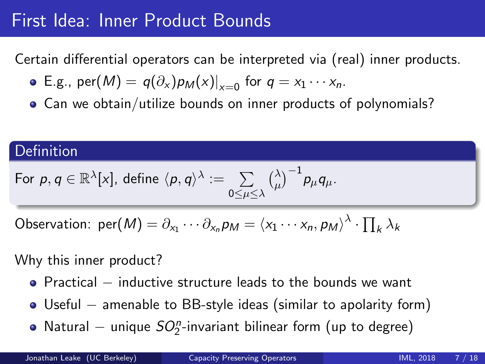## First Idea: Inner Product Bounds

Certain differential operators can be interpreted via (real) inner products.

- E.g.,  $\text{per}(M) = q(\partial_x) p_M(x)|_{x=0}$  for  $q = x_1 \cdots x_n$ .
- Can we obtain/utilize bounds on inner products of polynomials?

#### **Definition**

For 
$$
p, q \in \mathbb{R}^{\lambda}[x]
$$
, define  $\langle p, q \rangle^{\lambda} := \sum_{0 \le \mu \le \lambda} {\lambda \choose \mu}^{-1} p_{\mu} q_{\mu}$ .

Observation: 
$$
\text{per}(M) = \partial_{x_1} \cdots \partial_{x_n} p_M = \langle x_1 \cdots x_n, p_M \rangle^{\lambda} \cdot \prod_k \lambda_k
$$

Why this inner product?

■ Practical – inductive structure leads to the bounds we want

- Useful − amenable to BB-style ideas (similar to apolarity form)
- Natural  $-$  unique  $SO_2^n$ -invariant bilinear form (up to degree)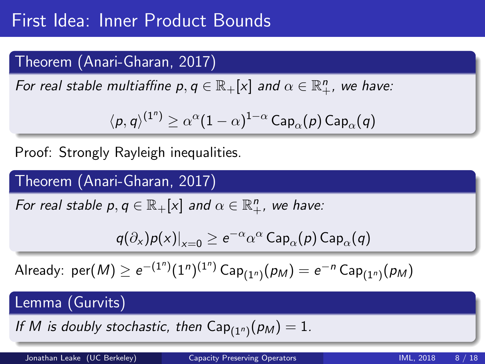## Theorem (Anari-Gharan, 2017)

For real stable multiaffine  $p,q\in\mathbb{R}_+[x]$  and  $\alpha\in\mathbb{R}^n_+$ , we have:

$$
\langle \rho, q \rangle^{(1^n)} \geq \alpha^{\alpha} (1-\alpha)^{1-\alpha} \operatorname{\mathsf{Cap}}_\alpha(\rho) \operatorname{\mathsf{Cap}}_\alpha(q)
$$

Proof: Strongly Rayleigh inequalities.

### Theorem (Anari-Gharan, 2017)

For real stable  $p, q \in \mathbb{R}_+ [x]$  and  $\alpha \in \mathbb{R}_+^n$ , we have:

$$
q(\partial_x)p(x)|_{x=0}\geq \mathrm{e}^{-\alpha}\alpha^\alpha\,\mathsf{Cap}_\alpha(p)\,\mathsf{Cap}_\alpha(q)
$$

Already:  $\mathsf{per}(M) \geq e^{-(1^n)} (1^n)^{(1^n)}$  Ca $\mathsf{p}_{(1^n)}(\rho_M) = e^{-n}$  Ca $\mathsf{p}_{(1^n)}(\rho_M)$ 

### Lemma (Gurvits)

If M is doubly stochastic, then  $\mathsf{Cap}_{(1^n)}(\rho_M)=1.$ 

Jonathan Leake (UC Berkeley) [Capacity Preserving Operators](#page-0-0) IML, 2018 8 / 18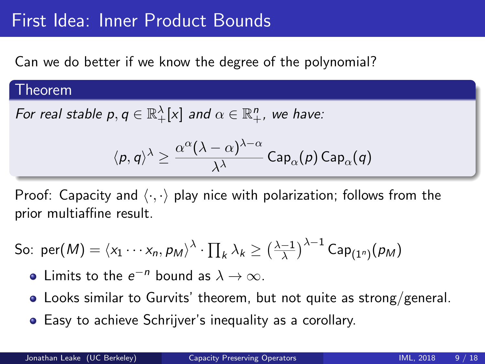## First Idea: Inner Product Bounds

Can we do better if we know the degree of the polynomial?

#### Theorem

For real stable  $p,q\in\mathbb{R}_+^\lambda[\mathrm{x}]$  and  $\alpha\in\mathbb{R}_+^n$ , we have:

$$
\langle p, q \rangle^{\lambda} \geq \frac{\alpha^{\alpha} (\lambda - \alpha)^{\lambda - \alpha}}{\lambda^{\lambda}} \, \mathsf{Cap}_{\alpha}(p) \, \mathsf{Cap}_{\alpha}(q)
$$

Proof: Capacity and  $\langle \cdot, \cdot \rangle$  play nice with polarization; follows from the prior multiaffine result.

So: 
$$
\text{per}(M) = \langle x_1 \cdots x_n, p_M \rangle^{\lambda} \cdot \prod_k \lambda_k \ge \left(\frac{\lambda - 1}{\lambda}\right)^{\lambda - 1} \text{Cap}_{(1^n)}(p_M)
$$

Limits to the  $e^{-n}$  bound as  $\lambda \to \infty$ .

- Looks similar to Gurvits' theorem, but not quite as strong/general.
- Easy to achieve Schrijver's inequality as a corollary.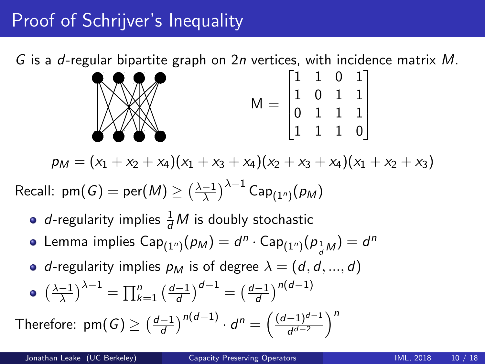# Proof of Schrijver's Inequality

G is a d-regular bipartite graph on 2n vertices, with incidence matrix  $M$ .



$$
p_M = (x_1 + x_2 + x_4)(x_1 + x_3 + x_4)(x_2 + x_3 + x_4)(x_1 + x_2 + x_3)
$$

Recall: pm $(G) = \textsf{per}(M) \geq \left(\frac{\lambda-1}{\lambda}\right)$  $\frac{-1}{\lambda}\big)^{\lambda-1}$  Cap $_{(1^n)}(p_M)$ 

- *d*-regularity implies  $\frac{1}{d}M$  is doubly stochastic
- Lemma implies  $\mathsf{Cap}_{(1^n)}(\rho_M) = d^n \cdot \mathsf{Cap}_{(1^n)}(\rho_{\frac{1}{d}M}) = d^n$
- d-regularity implies  $p_M$  is of degree  $\lambda = (d, d, ..., d)$

$$
\bullet \ \left(\frac{\lambda - 1}{\lambda}\right)^{\lambda - 1} = \prod_{k = 1}^{n} \left(\frac{d - 1}{d}\right)^{d - 1} = \left(\frac{d - 1}{d}\right)^{n(d - 1)}
$$

Therefore:  $\text{pm}(G) \geq \left(\frac{d-1}{d}\right)$  $\left(\frac{d-1}{d}\right)^{n(d-1)}\cdot d^n=\left(\frac{(d-1)^{d-1}}{d^{d-2}}\right)$  $\frac{(-1)^{d-1}}{d^{d-2}}$  1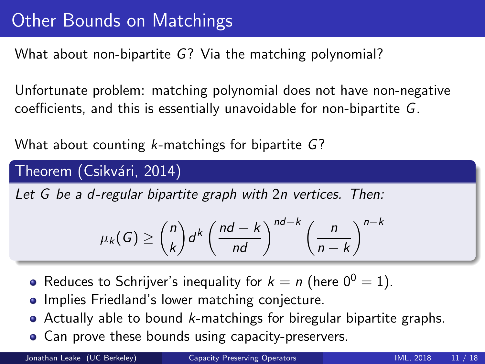What about non-bipartite G? Via the matching polynomial?

Unfortunate problem: matching polynomial does not have non-negative coefficients, and this is essentially unavoidable for non-bipartite G.

What about counting k-matchings for bipartite G?

### Theorem (Csikvári, 2014)

Let G be a d-regular bipartite graph with 2n vertices. Then:

$$
\mu_k(G) \geq {n \choose k} d^k \left( \frac{nd-k}{nd} \right)^{nd-k} \left( \frac{n}{n-k} \right)^{n-k}
$$

- Reduces to Schrijver's inequality for  $k = n$  (here  $0^0 = 1$ ).
- Implies Friedland's lower matching conjecture.
- $\bullet$  Actually able to bound *k*-matchings for biregular bipartite graphs.
- Can prove these bounds using capacity-preservers.

Jonathan Leake (UC Berkeley) [Capacity Preserving Operators](#page-0-0) Communication Capacity Preserving Operators International Communication of the UNL, 2018 11 / 18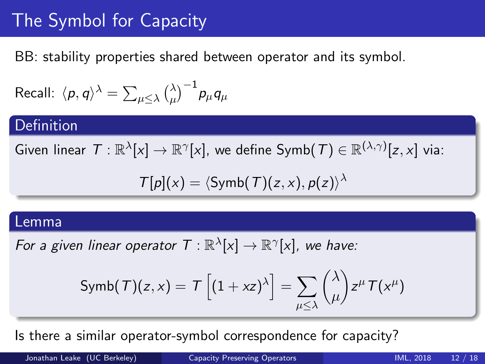# The Symbol for Capacity

BB: stability properties shared between operator and its symbol.

Recall:  $\langle p,q\rangle^\lambda = \sum_{\mu\leq \lambda} {\lambda\choose \mu}$  $\bigl( \lambda_\mu \bigr)^{-1}$ p $_\mu$ q $_\mu$ 

#### Definition

Given linear  $\mathcal{T}:\mathbb{R}^\lambda[\chi]\to\mathbb{R}^\gamma[\chi]$ , we define  $\mathsf{Symb}(\mathcal{T})\in\mathbb{R}^{(\lambda,\gamma)}[z,x]$  via:

$$
\mathcal{T}[p](x) = \langle \mathsf{Symb}(\mathcal{T})(z,x), p(z) \rangle^{\lambda}
$$

#### Lemma

For a given linear operator  $T: \mathbb{R}^{\lambda}[x] \to \mathbb{R}^{\gamma}[x]$ , we have:

$$
\text{Symb}(\mathcal{T})(z,x) = \mathcal{T}\left[(1+xz)^{\lambda}\right] = \sum_{\mu \leq \lambda} {\lambda \choose \mu} z^{\mu} \mathcal{T}(x^{\mu})
$$

Is there a similar operator-symbol correspondence for capacity?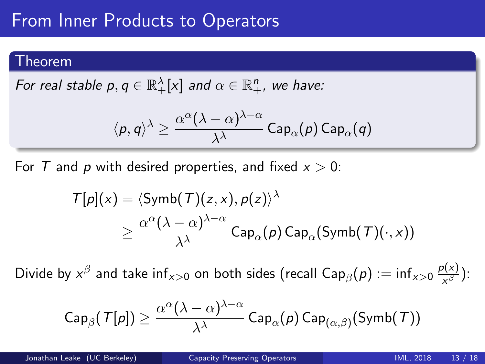## From Inner Products to Operators

#### Theorem

For real stable  $p,q\in\mathbb{R}_+^\lambda[\mathrm{x}]$  and  $\alpha\in\mathbb{R}_+^n$ , we have:

$$
\langle p, q \rangle^{\lambda} \geq \frac{\alpha^{\alpha}(\lambda - \alpha)^{\lambda - \alpha}}{\lambda^{\lambda}} \, \mathsf{Cap}_{\alpha}(p) \, \mathsf{Cap}_{\alpha}(q)
$$

For T and p with desired properties, and fixed  $x > 0$ :

$$
T[p](x) = \langle \operatorname{Symb}(\mathcal{T})(z, x), p(z) \rangle^{\lambda}
$$
  
 
$$
\geq \frac{\alpha^{\alpha}(\lambda - \alpha)^{\lambda - \alpha}}{\lambda^{\lambda}} \operatorname{Cap}_{\alpha}(p) \operatorname{Cap}_{\alpha}(\operatorname{Symb}(\mathcal{T})(\cdot, x))
$$

Divide by  $x^\beta$  and take inf $_{x>0}$  on both sides (recall Cap $_\beta(p):=\mathsf{inf}_{x>0}\frac{p(x)}{x^\beta}$  $\frac{\partial(x)}{\partial x}$ ):

$$
{\sf Cap}_\beta(\,T[p]) \geq \frac{\alpha^\alpha (\lambda-\alpha)^{\lambda-\alpha}}{\lambda^\lambda}\, {\sf Cap}_\alpha(\rho)\, {\sf Cap}_{(\alpha,\beta)}({\sf Symb}(\,\mathcal{T}))
$$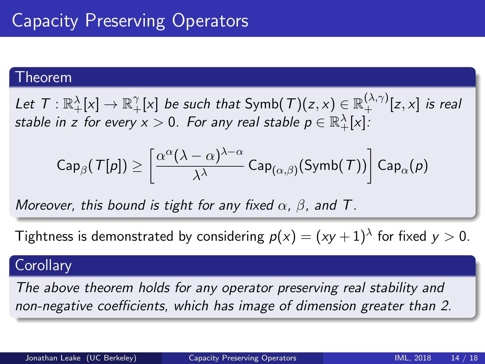#### Theorem

Let  $\mathcal{T}:\mathbb{R}^{\lambda}_+[x]\to\mathbb{R}^{\gamma}_+[x]$  be such that  $\mathsf{Symb}(\mathcal{T})(z,x)\in\mathbb{R}^{(\lambda,\gamma)}_+[z,x]$  is real stable in z for every  $x>0.$  For any real stable  $p\in\R^{\lambda}_+[x]$ :

$$
{\sf Cap}_\beta(\,T[\rho]\,) \geq \left[\frac{\alpha^\alpha (\lambda-\alpha)^{\lambda-\alpha}}{\lambda^\lambda}\, {\sf Cap}_{(\alpha,\beta)}({\sf Symb}(\,\mathcal{T}))\right] {\sf Cap}_\alpha(\rho)
$$

Moreover, this bound is tight for any fixed  $\alpha$ ,  $\beta$ , and T.

Tightness is demonstrated by considering  $p(x) = (xy+1)^\lambda$  for fixed  $y > 0.$ 

#### **Corollary**

The above theorem holds for any operator preserving real stability and non-negative coefficients, which has image of dimension greater than 2.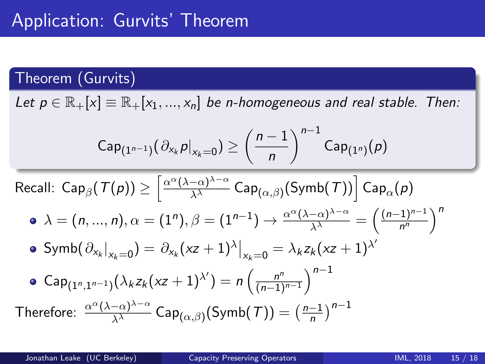### Theorem (Gurvits)

Let  $p \in \mathbb{R}_+[x] \equiv \mathbb{R}_+[x_1, ..., x_n]$  be n-homogeneous and real stable. Then:

$$
Cap_{(1^{n-1})}(\partial_{x_k}p|_{x_k=0}) \ge \left(\frac{n-1}{n}\right)^{n-1}Cap_{(1^n)}(p)
$$

Recall: 
$$
\text{Cap}_{\beta}(\mathcal{T}(p)) \ge \left[ \frac{\alpha^{\alpha}(\lambda-\alpha)^{\lambda-\alpha}}{\lambda^{\lambda}} \text{Cap}_{(\alpha,\beta)}(\text{Symb}(\mathcal{T})) \right] \text{Cap}_{\alpha}(p)
$$
  
\n•  $\lambda = (n, ..., n), \alpha = (1^n), \beta = (1^{n-1}) \rightarrow \frac{\alpha^{\alpha}(\lambda-\alpha)^{\lambda-\alpha}}{\lambda^{\lambda}} = \left( \frac{(n-1)^{n-1}}{n^n} \right)^n$   
\n•  $\text{Symb}(\partial_{x_k}|_{x_k=0}) = \partial_{x_k}(xz+1)^{\lambda}|_{x_k=0} = \lambda_k z_k (xz+1)^{\lambda'}$   
\n•  $\text{Cap}_{(1^n,1^{n-1})}(\lambda_k z_k (xz+1)^{\lambda'}) = n \left( \frac{n^n}{(n-1)^{n-1}} \right)^{n-1}$   
\nTherefore:  $\frac{\alpha^{\alpha}(\lambda-\alpha)^{\lambda-\alpha}}{\lambda^{\lambda}}$   $\text{Cap}_{(\alpha,\beta)}(\text{Symb}(\mathcal{T})) = \left( \frac{n-1}{n} \right)^{n-1}$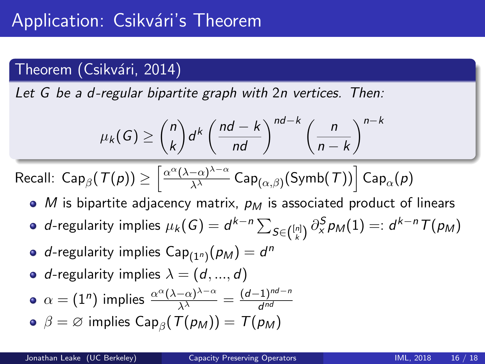### Theorem (Csikvári, 2014)

Let G be a d-regular bipartite graph with 2n vertices. Then:

$$
\mu_k(G) \ge \binom{n}{k} d^k \left(\frac{nd-k}{nd}\right)^{nd-k} \left(\frac{n}{n-k}\right)^{n-k}
$$

Recall: 
$$
\textsf{Recall: } \textsf{Cap}_\beta(\mathcal{T}(p)) \geq \left[ \tfrac{\alpha^\alpha (\lambda - \alpha)^{\lambda - \alpha}}{\lambda^\lambda} \, \textsf{Cap}_{(\alpha, \beta)}(\textsf{Symb}(\mathcal{T})) \right] \textsf{Cap}_\alpha(p)
$$

- M is bipartite adjacency matrix,  $p_M$  is associated product of linears
- d-regularity implies  $\mu_k(G)=d^{k-n}\sum_{S\in\binom{[n]}{k}}\partial_{\chi}^S p_M(1)=:d^{k-n}\mathcal{T}(p_M)$
- d-regularity implies  $\mathsf{Cap}_{(1^n)}(\rho_\mathcal{M})=d^n$
- d-regularity implies  $\lambda = (d, ..., d)$
- $\alpha = (1^n)$  implies  $\frac{\alpha^{\alpha} (\lambda \alpha)^{\lambda \alpha}}{\lambda^{\lambda}} = \frac{(d-1)^{nd-n}}{d^{nd}}$ d nd
- $\beta = \varnothing$  implies Cap $_{\beta}$ ( $\overline{T}(p_M)$ ) =  $\overline{T}(p_M)$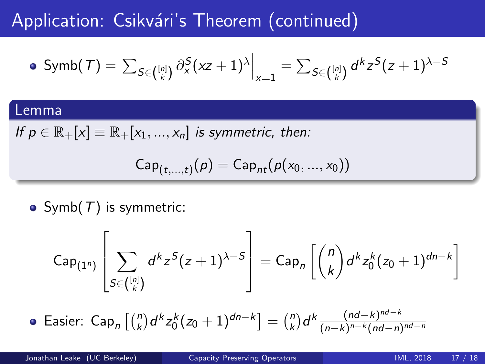## Application: Csikvári's Theorem (continued)

$$
\bullet \text{ Symb}(\mathcal{T}) = \left. \sum_{S \in \binom{[n]}{k}} \partial_x^S (xz+1)^\lambda \right|_{x=1} = \sum_{S \in \binom{[n]}{k}} d^k z^S (z+1)^{\lambda - S}
$$

#### Lemma

If  $p \in \mathbb{R}_+[x] \equiv \mathbb{R}_+[x_1, ..., x_n]$  is symmetric, then:

$$
Cap_{(t,\ldots,t)}(p)=Cap_{nt}(p(x_0,\ldots,x_0))
$$

• Symb $(T)$  is symmetric:

$$
\text{Cap}_{(1^n)}\left[\sum_{S\in\binom{[n]}{k}}d^kz^S(z+1)^{\lambda-S}\right]=\text{Cap}_n\left[\binom{n}{k}d^kz_0^k(z_0+1)^{dn-k}\right]
$$

Easier:  $\mathsf{Cap}_n\left[{n \choose k}d^kz_0^k(z_0+1)^{dn-k}\right] = {n \choose k}$  $\binom{n}{k}$ d<sup>k</sup>  $\frac{(nd-k)^{nd-k}}{(n-k)^{n-k}(nd-n)}$  $(n-k)^{n-k} (nd-n)^{nd-n}$